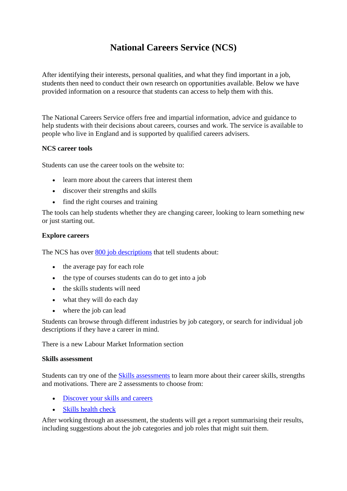## **National Careers Service (NCS)**

After identifying their interests, personal qualities, and what they find important in a job, students then need to conduct their own research on opportunities available. Below we have provided information on a resource that students can access to help them with this.

The National Careers Service offers free and impartial information, advice and guidance to help students with their decisions about careers, courses and work. The service is available to people who live in England and is supported by qualified careers advisers.

## **NCS career tools**

Students can use the career tools on the website to:

- learn more about the careers that interest them
- discover their strengths and skills
- find the right courses and training

The tools can help students whether they are changing career, looking to learn something new or just starting out.

## **Explore careers**

The NCS has over [800 job descriptions](https://nationalcareers.service.gov.uk/explore-careers) that tell students about:

- the average pay for each role
- the type of courses students can do to get into a job
- the skills students will need
- what they will do each day
- where the job can lead

Students can browse through different industries by job category, or search for individual job descriptions if they have a career in mind.

There is a new Labour Market Information section

## **Skills assessment**

Students can try one of the [Skills assessments](https://nationalcareers.service.gov.uk/skills-assessment) to learn more about their career skills, strengths and motivations. There are 2 assessments to choose from:

- [Discover your skills and careers](https://beta.nationalcareers.service.gov.uk/)
- [Skills health check](https://nationalcareers.service.gov.uk/skills-assessment/skills-health-check/home)

After working through an assessment, the students will get a report summarising their results, including suggestions about the job categories and job roles that might suit them.